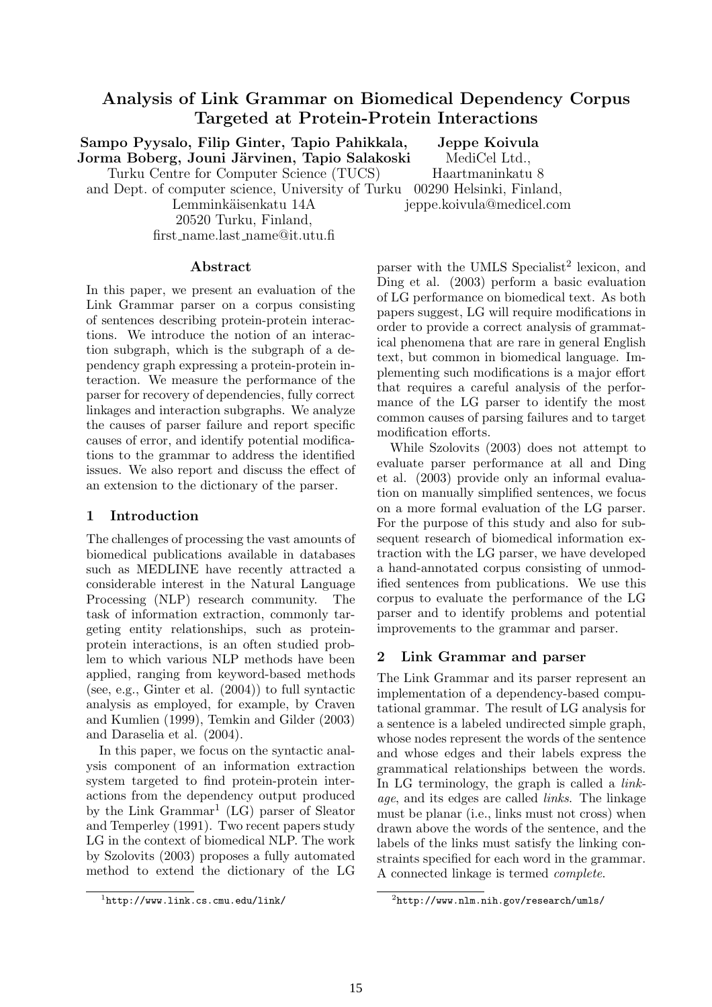# Analysis of Link Grammar on Biomedical Dependency Corpus Targeted at Protein-Protein Interactions

Sampo Pyysalo, Filip Ginter, Tapio Pahikkala, Jorma Boberg, Jouni Järvinen, Tapio Salakoski Jeppe Koivula

Turku Centre for Computer Science (TUCS)

MediCel Ltd., Haartmaninkatu 8

and Dept. of computer science, University of Turku 00290 Helsinki, Finland,

Lemminkäisenkatu 14A 20520 Turku, Finland, first name.last name@it.utu.fi jeppe.koivula@medicel.com

#### Abstract

In this paper, we present an evaluation of the Link Grammar parser on a corpus consisting of sentences describing protein-protein interactions. We introduce the notion of an interaction subgraph, which is the subgraph of a dependency graph expressing a protein-protein interaction. We measure the performance of the parser for recovery of dependencies, fully correct linkages and interaction subgraphs. We analyze the causes of parser failure and report specific causes of error, and identify potential modifications to the grammar to address the identified issues. We also report and discuss the effect of an extension to the dictionary of the parser.

### 1 Introduction

The challenges of processing the vast amounts of biomedical publications available in databases such as MEDLINE have recently attracted a considerable interest in the Natural Language Processing (NLP) research community. The task of information extraction, commonly targeting entity relationships, such as proteinprotein interactions, is an often studied problem to which various NLP methods have been applied, ranging from keyword-based methods (see, e.g., Ginter et al. (2004)) to full syntactic analysis as employed, for example, by Craven and Kumlien (1999), Temkin and Gilder (2003) and Daraselia et al. (2004).

In this paper, we focus on the syntactic analysis component of an information extraction system targeted to find protein-protein interactions from the dependency output produced by the Link Grammar<sup>1</sup> (LG) parser of Sleator and Temperley (1991). Two recent papers study LG in the context of biomedical NLP. The work by Szolovits (2003) proposes a fully automated method to extend the dictionary of the LG

parser with the UMLS Specialist<sup>2</sup> lexicon, and Ding et al. (2003) perform a basic evaluation of LG performance on biomedical text. As both papers suggest, LG will require modifications in order to provide a correct analysis of grammatical phenomena that are rare in general English text, but common in biomedical language. Implementing such modifications is a major effort that requires a careful analysis of the performance of the LG parser to identify the most common causes of parsing failures and to target modification efforts.

While Szolovits (2003) does not attempt to evaluate parser performance at all and Ding et al. (2003) provide only an informal evaluation on manually simplified sentences, we focus on a more formal evaluation of the LG parser. For the purpose of this study and also for subsequent research of biomedical information extraction with the LG parser, we have developed a hand-annotated corpus consisting of unmodified sentences from publications. We use this corpus to evaluate the performance of the LG parser and to identify problems and potential improvements to the grammar and parser.

# 2 Link Grammar and parser

The Link Grammar and its parser represent an implementation of a dependency-based computational grammar. The result of LG analysis for a sentence is a labeled undirected simple graph, whose nodes represent the words of the sentence and whose edges and their labels express the grammatical relationships between the words. In LG terminology, the graph is called a *link*age, and its edges are called links. The linkage must be planar (i.e., links must not cross) when drawn above the words of the sentence, and the labels of the links must satisfy the linking constraints specified for each word in the grammar. A connected linkage is termed complete.

 $1$ http://www.link.cs.cmu.edu/link/

 $^{2}$ http://www.nlm.nih.gov/research/umls/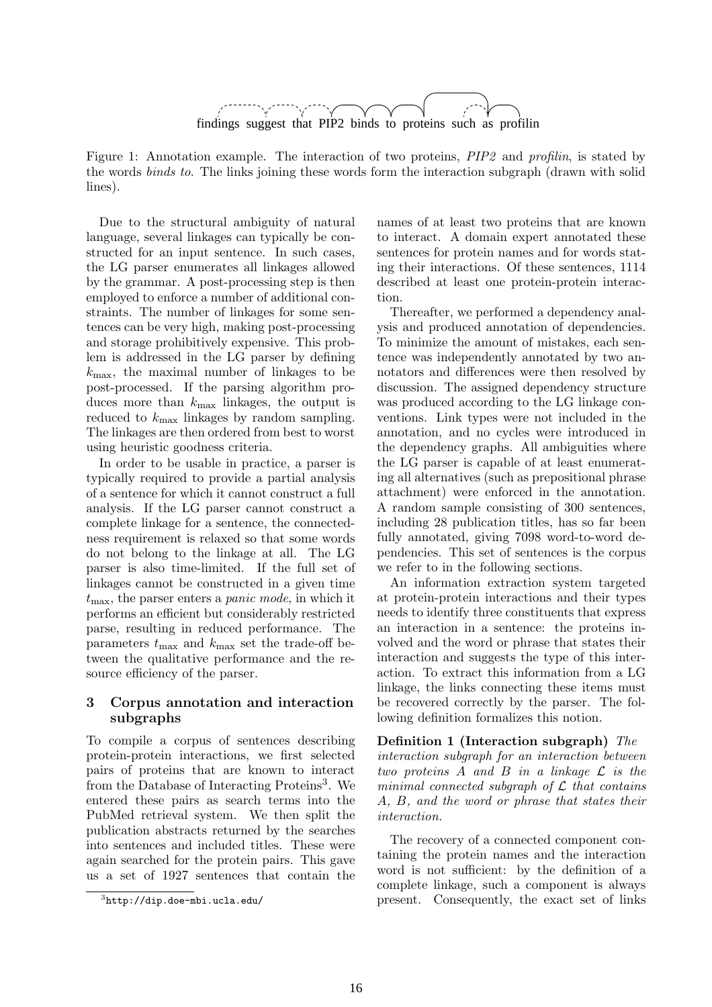

Figure 1: Annotation example. The interaction of two proteins, PIP2 and profilin, is stated by the words binds to. The links joining these words form the interaction subgraph (drawn with solid lines).

Due to the structural ambiguity of natural language, several linkages can typically be constructed for an input sentence. In such cases, the LG parser enumerates all linkages allowed by the grammar. A post-processing step is then employed to enforce a number of additional constraints. The number of linkages for some sentences can be very high, making post-processing and storage prohibitively expensive. This problem is addressed in the LG parser by defining  $k_{\text{max}}$ , the maximal number of linkages to be post-processed. If the parsing algorithm produces more than  $k_{\text{max}}$  linkages, the output is reduced to  $k_{\text{max}}$  linkages by random sampling. The linkages are then ordered from best to worst using heuristic goodness criteria.

In order to be usable in practice, a parser is typically required to provide a partial analysis of a sentence for which it cannot construct a full analysis. If the LG parser cannot construct a complete linkage for a sentence, the connectedness requirement is relaxed so that some words do not belong to the linkage at all. The LG parser is also time-limited. If the full set of linkages cannot be constructed in a given time  $t_{\text{max}}$ , the parser enters a *panic mode*, in which it performs an efficient but considerably restricted parse, resulting in reduced performance. The parameters  $t_{\text{max}}$  and  $k_{\text{max}}$  set the trade-off between the qualitative performance and the resource efficiency of the parser.

### 3 Corpus annotation and interaction subgraphs

To compile a corpus of sentences describing protein-protein interactions, we first selected pairs of proteins that are known to interact from the Database of Interacting Proteins<sup>3</sup>. We entered these pairs as search terms into the PubMed retrieval system. We then split the publication abstracts returned by the searches into sentences and included titles. These were again searched for the protein pairs. This gave us a set of 1927 sentences that contain the names of at least two proteins that are known to interact. A domain expert annotated these sentences for protein names and for words stating their interactions. Of these sentences, 1114 described at least one protein-protein interaction.

Thereafter, we performed a dependency analysis and produced annotation of dependencies. To minimize the amount of mistakes, each sentence was independently annotated by two annotators and differences were then resolved by discussion. The assigned dependency structure was produced according to the LG linkage conventions. Link types were not included in the annotation, and no cycles were introduced in the dependency graphs. All ambiguities where the LG parser is capable of at least enumerating all alternatives (such as prepositional phrase attachment) were enforced in the annotation. A random sample consisting of 300 sentences, including 28 publication titles, has so far been fully annotated, giving 7098 word-to-word dependencies. This set of sentences is the corpus we refer to in the following sections.

An information extraction system targeted at protein-protein interactions and their types needs to identify three constituents that express an interaction in a sentence: the proteins involved and the word or phrase that states their interaction and suggests the type of this interaction. To extract this information from a LG linkage, the links connecting these items must be recovered correctly by the parser. The following definition formalizes this notion.

Definition 1 (Interaction subgraph) The interaction subgraph for an interaction between two proteins A and B in a linkage L is the minimal connected subgraph of  $\mathcal L$  that contains A, B, and the word or phrase that states their interaction.

The recovery of a connected component containing the protein names and the interaction word is not sufficient: by the definition of a complete linkage, such a component is always present. Consequently, the exact set of links

 ${}^{3}$ http://dip.doe-mbi.ucla.edu/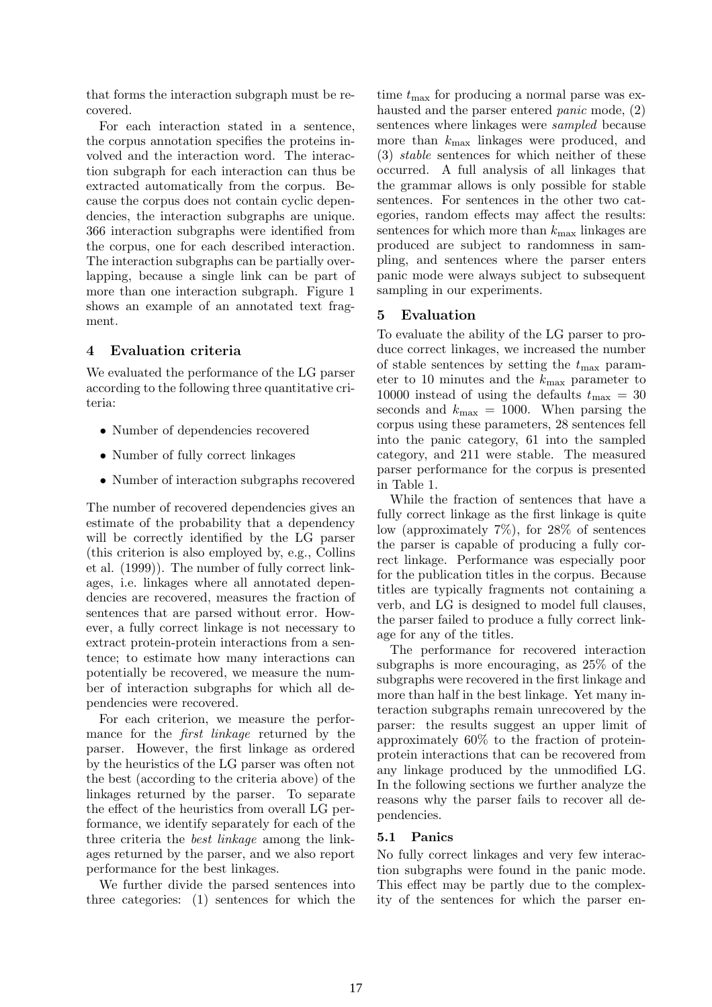that forms the interaction subgraph must be recovered.

For each interaction stated in a sentence, the corpus annotation specifies the proteins involved and the interaction word. The interaction subgraph for each interaction can thus be extracted automatically from the corpus. Because the corpus does not contain cyclic dependencies, the interaction subgraphs are unique. 366 interaction subgraphs were identified from the corpus, one for each described interaction. The interaction subgraphs can be partially overlapping, because a single link can be part of more than one interaction subgraph. Figure 1 shows an example of an annotated text fragment.

### 4 Evaluation criteria

We evaluated the performance of the LG parser according to the following three quantitative criteria:

- Number of dependencies recovered
- Number of fully correct linkages
- Number of interaction subgraphs recovered

The number of recovered dependencies gives an estimate of the probability that a dependency will be correctly identified by the LG parser (this criterion is also employed by, e.g., Collins et al. (1999)). The number of fully correct linkages, i.e. linkages where all annotated dependencies are recovered, measures the fraction of sentences that are parsed without error. However, a fully correct linkage is not necessary to extract protein-protein interactions from a sentence; to estimate how many interactions can potentially be recovered, we measure the number of interaction subgraphs for which all dependencies were recovered.

For each criterion, we measure the performance for the *first linkage* returned by the parser. However, the first linkage as ordered by the heuristics of the LG parser was often not the best (according to the criteria above) of the linkages returned by the parser. To separate the effect of the heuristics from overall LG performance, we identify separately for each of the three criteria the best linkage among the linkages returned by the parser, and we also report performance for the best linkages.

We further divide the parsed sentences into three categories: (1) sentences for which the

time  $t_{\text{max}}$  for producing a normal parse was exhausted and the parser entered *panic* mode, (2) sentences where linkages were *sampled* because more than  $k_{\text{max}}$  linkages were produced, and (3) stable sentences for which neither of these occurred. A full analysis of all linkages that the grammar allows is only possible for stable sentences. For sentences in the other two categories, random effects may affect the results: sentences for which more than  $k_{\text{max}}$  linkages are produced are subject to randomness in sampling, and sentences where the parser enters panic mode were always subject to subsequent sampling in our experiments.

### 5 Evaluation

To evaluate the ability of the LG parser to produce correct linkages, we increased the number of stable sentences by setting the  $t_{\text{max}}$  parameter to 10 minutes and the  $k_{\text{max}}$  parameter to 10000 instead of using the defaults  $t_{\text{max}} = 30$ seconds and  $k_{\text{max}} = 1000$ . When parsing the corpus using these parameters, 28 sentences fell into the panic category, 61 into the sampled category, and 211 were stable. The measured parser performance for the corpus is presented in Table 1.

While the fraction of sentences that have a fully correct linkage as the first linkage is quite low (approximately 7%), for 28% of sentences the parser is capable of producing a fully correct linkage. Performance was especially poor for the publication titles in the corpus. Because titles are typically fragments not containing a verb, and LG is designed to model full clauses, the parser failed to produce a fully correct linkage for any of the titles.

The performance for recovered interaction subgraphs is more encouraging, as 25% of the subgraphs were recovered in the first linkage and more than half in the best linkage. Yet many interaction subgraphs remain unrecovered by the parser: the results suggest an upper limit of approximately 60% to the fraction of proteinprotein interactions that can be recovered from any linkage produced by the unmodified LG. In the following sections we further analyze the reasons why the parser fails to recover all dependencies.

### 5.1 Panics

No fully correct linkages and very few interaction subgraphs were found in the panic mode. This effect may be partly due to the complexity of the sentences for which the parser en-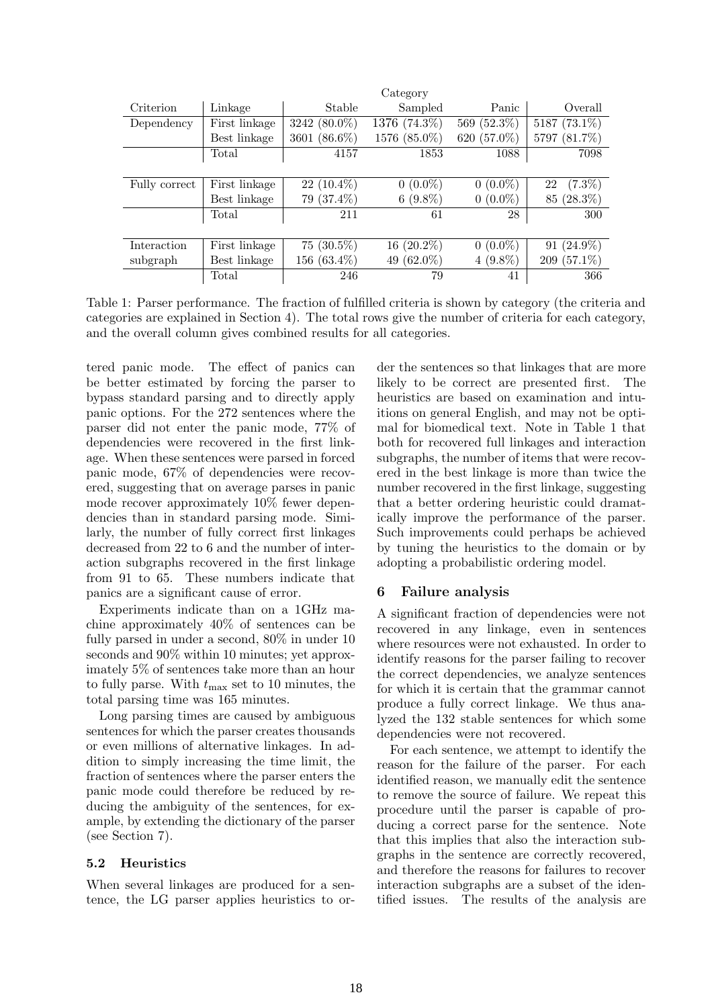|               |               |                | Category      |             |                    |
|---------------|---------------|----------------|---------------|-------------|--------------------|
| Criterion     | Linkage       | Stable         | Sampled       | Panic       | Overall            |
| Dependency    | First linkage | 3242 (80.0%)   | 1376 (74.3%)  | 569 (52.3%) | 5187 (73.1%)       |
|               | Best linkage  | 3601 (86.6%)   | 1576 (85.0%)  | 620 (57.0%) | $(81.7\%)$<br>5797 |
|               | Total         | 4157           | 1853          | 1088        | 7098               |
|               |               |                |               |             |                    |
| Fully correct | First linkage | $22(10.4\%)$   | $0(0.0\%)$    | $0(0.0\%)$  | $(7.3\%)$<br>22    |
|               | Best linkage  | 79 (37.4%)     | $6(9.8\%)$    | $0(0.0\%)$  | $(28.3\%)$<br>85   |
|               | Total         | 211            | 61            | 28          | 300                |
|               |               |                |               |             |                    |
| Interaction   | First linkage | $75(30.5\%)$   | $16(20.2\%)$  | $0(0.0\%)$  | $91(24.9\%)$       |
| subgraph      | Best linkage  | 156 $(63.4\%)$ | 49 $(62.0\%)$ | $4(9.8\%)$  | 209 $(57.1\%)$     |
|               | Total         | 246            | 79            | 41          | 366                |
|               |               |                |               |             |                    |

Table 1: Parser performance. The fraction of fulfilled criteria is shown by category (the criteria and categories are explained in Section 4). The total rows give the number of criteria for each category, and the overall column gives combined results for all categories.

tered panic mode. The effect of panics can be better estimated by forcing the parser to bypass standard parsing and to directly apply panic options. For the 272 sentences where the parser did not enter the panic mode, 77% of dependencies were recovered in the first linkage. When these sentences were parsed in forced panic mode, 67% of dependencies were recovered, suggesting that on average parses in panic mode recover approximately 10% fewer dependencies than in standard parsing mode. Similarly, the number of fully correct first linkages decreased from 22 to 6 and the number of interaction subgraphs recovered in the first linkage from 91 to 65. These numbers indicate that panics are a significant cause of error.

Experiments indicate than on a 1GHz machine approximately 40% of sentences can be fully parsed in under a second, 80% in under 10 seconds and 90% within 10 minutes; yet approximately 5% of sentences take more than an hour to fully parse. With  $t_{\text{max}}$  set to 10 minutes, the total parsing time was 165 minutes.

Long parsing times are caused by ambiguous sentences for which the parser creates thousands or even millions of alternative linkages. In addition to simply increasing the time limit, the fraction of sentences where the parser enters the panic mode could therefore be reduced by reducing the ambiguity of the sentences, for example, by extending the dictionary of the parser (see Section 7).

#### 5.2 Heuristics

When several linkages are produced for a sentence, the LG parser applies heuristics to or-

der the sentences so that linkages that are more likely to be correct are presented first. The heuristics are based on examination and intuitions on general English, and may not be optimal for biomedical text. Note in Table 1 that both for recovered full linkages and interaction subgraphs, the number of items that were recovered in the best linkage is more than twice the number recovered in the first linkage, suggesting that a better ordering heuristic could dramatically improve the performance of the parser. Such improvements could perhaps be achieved by tuning the heuristics to the domain or by adopting a probabilistic ordering model.

### 6 Failure analysis

A significant fraction of dependencies were not recovered in any linkage, even in sentences where resources were not exhausted. In order to identify reasons for the parser failing to recover the correct dependencies, we analyze sentences for which it is certain that the grammar cannot produce a fully correct linkage. We thus analyzed the 132 stable sentences for which some dependencies were not recovered.

For each sentence, we attempt to identify the reason for the failure of the parser. For each identified reason, we manually edit the sentence to remove the source of failure. We repeat this procedure until the parser is capable of producing a correct parse for the sentence. Note that this implies that also the interaction subgraphs in the sentence are correctly recovered, and therefore the reasons for failures to recover interaction subgraphs are a subset of the identified issues. The results of the analysis are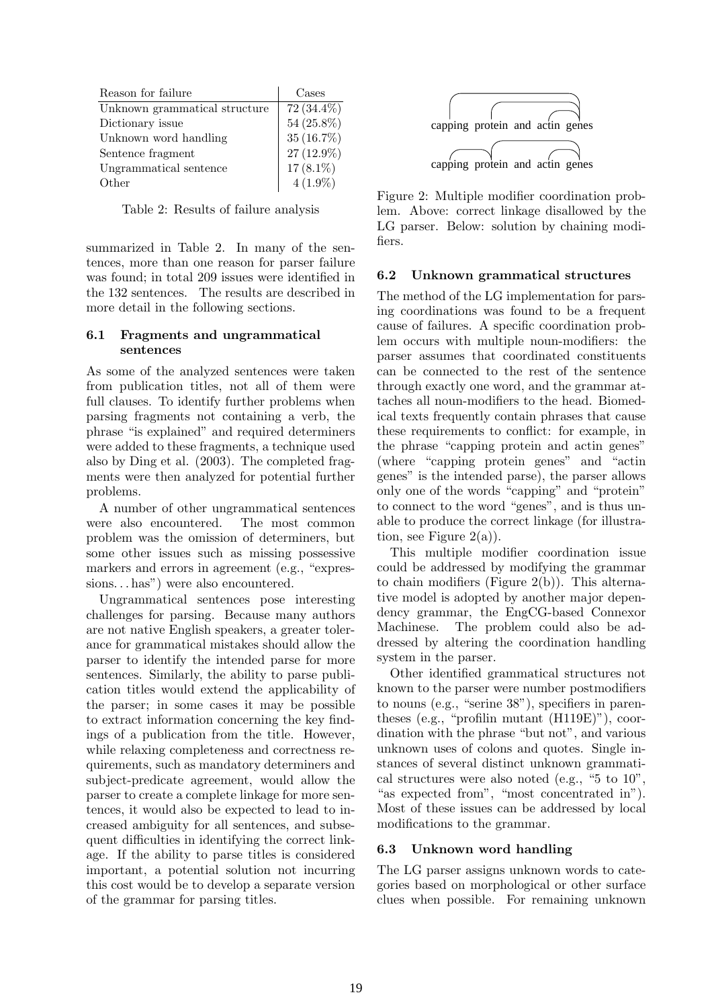| Reason for failure            | Cases        |
|-------------------------------|--------------|
| Unknown grammatical structure | $72(34.4\%)$ |
| Dictionary issue              | 54 (25.8%)   |
| Unknown word handling         | 35 (16.7%)   |
| Sentence fragment             | 27 (12.9%)   |
| Ungrammatical sentence        | $17(8.1\%)$  |
| Other                         | $4(1.9\%)$   |

Table 2: Results of failure analysis

summarized in Table 2. In many of the sentences, more than one reason for parser failure was found; in total 209 issues were identified in the 132 sentences. The results are described in more detail in the following sections.

#### 6.1 Fragments and ungrammatical sentences

As some of the analyzed sentences were taken from publication titles, not all of them were full clauses. To identify further problems when parsing fragments not containing a verb, the phrase "is explained" and required determiners were added to these fragments, a technique used also by Ding et al. (2003). The completed fragments were then analyzed for potential further problems.

A number of other ungrammatical sentences were also encountered. The most common problem was the omission of determiners, but some other issues such as missing possessive markers and errors in agreement (e.g., "expressions... has") were also encountered.

Ungrammatical sentences pose interesting challenges for parsing. Because many authors are not native English speakers, a greater tolerance for grammatical mistakes should allow the parser to identify the intended parse for more sentences. Similarly, the ability to parse publication titles would extend the applicability of the parser; in some cases it may be possible to extract information concerning the key findings of a publication from the title. However, while relaxing completeness and correctness requirements, such as mandatory determiners and subject-predicate agreement, would allow the parser to create a complete linkage for more sentences, it would also be expected to lead to increased ambiguity for all sentences, and subsequent difficulties in identifying the correct linkage. If the ability to parse titles is considered important, a potential solution not incurring this cost would be to develop a separate version of the grammar for parsing titles.



Figure 2: Multiple modifier coordination problem. Above: correct linkage disallowed by the LG parser. Below: solution by chaining modifiers.

#### 6.2 Unknown grammatical structures

The method of the LG implementation for parsing coordinations was found to be a frequent cause of failures. A specific coordination problem occurs with multiple noun-modifiers: the parser assumes that coordinated constituents can be connected to the rest of the sentence through exactly one word, and the grammar attaches all noun-modifiers to the head. Biomedical texts frequently contain phrases that cause these requirements to conflict: for example, in the phrase "capping protein and actin genes" (where "capping protein genes" and "actin genes" is the intended parse), the parser allows only one of the words "capping" and "protein" to connect to the word "genes", and is thus unable to produce the correct linkage (for illustration, see Figure  $2(a)$ ).

This multiple modifier coordination issue could be addressed by modifying the grammar to chain modifiers (Figure 2(b)). This alternative model is adopted by another major dependency grammar, the EngCG-based Connexor Machinese. The problem could also be addressed by altering the coordination handling system in the parser.

Other identified grammatical structures not known to the parser were number postmodifiers to nouns (e.g., "serine 38"), specifiers in parentheses (e.g., "profilin mutant (H119E)"), coordination with the phrase "but not", and various unknown uses of colons and quotes. Single instances of several distinct unknown grammatical structures were also noted (e.g., "5 to 10", "as expected from", "most concentrated in"). Most of these issues can be addressed by local modifications to the grammar.

### 6.3 Unknown word handling

The LG parser assigns unknown words to categories based on morphological or other surface clues when possible. For remaining unknown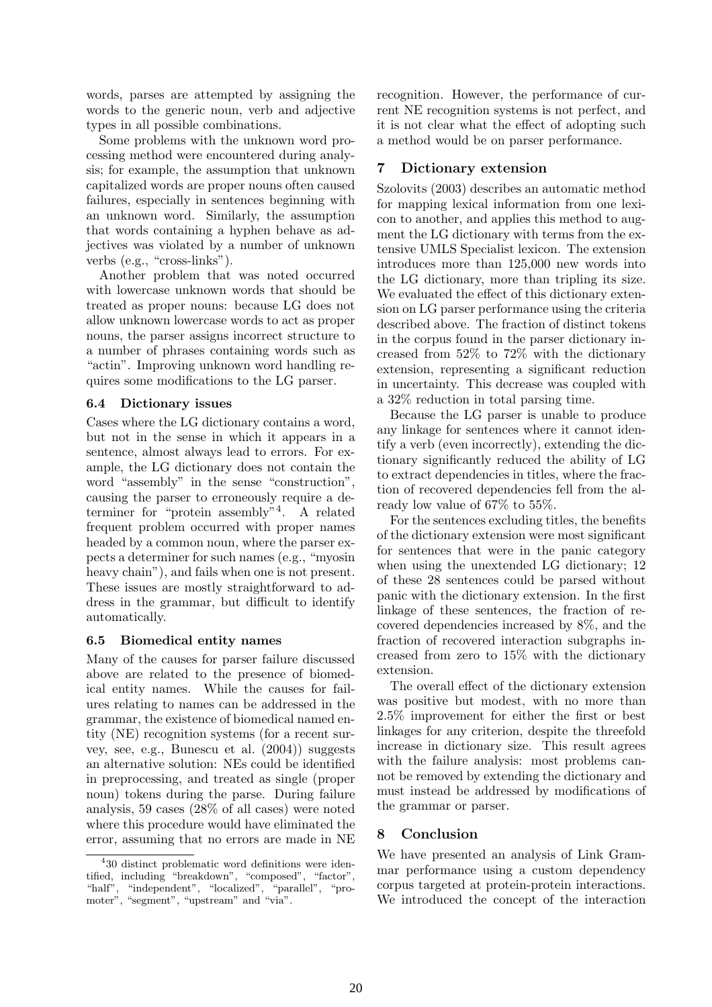words, parses are attempted by assigning the words to the generic noun, verb and adjective types in all possible combinations.

Some problems with the unknown word processing method were encountered during analysis; for example, the assumption that unknown capitalized words are proper nouns often caused failures, especially in sentences beginning with an unknown word. Similarly, the assumption that words containing a hyphen behave as adjectives was violated by a number of unknown verbs (e.g., "cross-links").

Another problem that was noted occurred with lowercase unknown words that should be treated as proper nouns: because LG does not allow unknown lowercase words to act as proper nouns, the parser assigns incorrect structure to a number of phrases containing words such as "actin". Improving unknown word handling requires some modifications to the LG parser.

### 6.4 Dictionary issues

Cases where the LG dictionary contains a word, but not in the sense in which it appears in a sentence, almost always lead to errors. For example, the LG dictionary does not contain the word "assembly" in the sense "construction", causing the parser to erroneously require a determiner for "protein assembly"<sup>4</sup> . A related frequent problem occurred with proper names headed by a common noun, where the parser expects a determiner for such names (e.g., "myosin heavy chain"), and fails when one is not present. These issues are mostly straightforward to address in the grammar, but difficult to identify automatically.

#### 6.5 Biomedical entity names

Many of the causes for parser failure discussed above are related to the presence of biomedical entity names. While the causes for failures relating to names can be addressed in the grammar, the existence of biomedical named entity (NE) recognition systems (for a recent survey, see, e.g., Bunescu et al. (2004)) suggests an alternative solution: NEs could be identified in preprocessing, and treated as single (proper noun) tokens during the parse. During failure analysis, 59 cases (28% of all cases) were noted where this procedure would have eliminated the error, assuming that no errors are made in NE recognition. However, the performance of current NE recognition systems is not perfect, and it is not clear what the effect of adopting such a method would be on parser performance.

### 7 Dictionary extension

Szolovits (2003) describes an automatic method for mapping lexical information from one lexicon to another, and applies this method to augment the LG dictionary with terms from the extensive UMLS Specialist lexicon. The extension introduces more than 125,000 new words into the LG dictionary, more than tripling its size. We evaluated the effect of this dictionary extension on LG parser performance using the criteria described above. The fraction of distinct tokens in the corpus found in the parser dictionary increased from 52% to 72% with the dictionary extension, representing a significant reduction in uncertainty. This decrease was coupled with a 32% reduction in total parsing time.

Because the LG parser is unable to produce any linkage for sentences where it cannot identify a verb (even incorrectly), extending the dictionary significantly reduced the ability of LG to extract dependencies in titles, where the fraction of recovered dependencies fell from the already low value of 67% to 55%.

For the sentences excluding titles, the benefits of the dictionary extension were most significant for sentences that were in the panic category when using the unextended LG dictionary; 12 of these 28 sentences could be parsed without panic with the dictionary extension. In the first linkage of these sentences, the fraction of recovered dependencies increased by 8%, and the fraction of recovered interaction subgraphs increased from zero to 15% with the dictionary extension.

The overall effect of the dictionary extension was positive but modest, with no more than 2.5% improvement for either the first or best linkages for any criterion, despite the threefold increase in dictionary size. This result agrees with the failure analysis: most problems cannot be removed by extending the dictionary and must instead be addressed by modifications of the grammar or parser.

# 8 Conclusion

We have presented an analysis of Link Grammar performance using a custom dependency corpus targeted at protein-protein interactions. We introduced the concept of the interaction

<sup>4</sup> 30 distinct problematic word definitions were identified, including "breakdown", "composed", "factor", "half", "independent", "localized", "parallel", "promoter", "segment", "upstream" and "via".